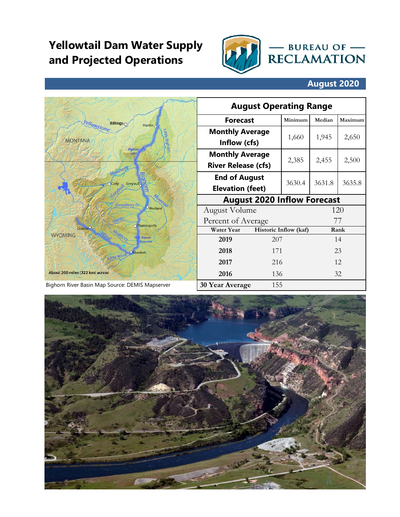## **Yellowtail Dam Water Supply and Projected Operations**



## **August 2020**

|                                                                       |                                        | <b>August Operating Range</b>                        |                       |         |        |         |
|-----------------------------------------------------------------------|----------------------------------------|------------------------------------------------------|-----------------------|---------|--------|---------|
|                                                                       | <b>Billings</b><br>Hàrdin <sub>O</sub> | <b>Forecast</b>                                      |                       | Minimum | Median | Maximum |
| <i><b>rellowstone</b></i><br>ittle Bighol<br><b>MONTANA</b><br>Bigham |                                        | <b>Monthly Average</b><br>Inflow (cfs)               |                       | 1,660   | 1,945  | 2,650   |
|                                                                       | Lake                                   | <b>Monthly Average</b><br><b>River Release (cfs)</b> |                       | 2,385   | 2,455  | 2,500   |
|                                                                       | Uzull Greybull                         | <b>End of August</b><br><b>Elevation (feet)</b>      |                       | 3630.4  | 3631.8 | 3635.8  |
| Gooseberry Cr.                                                        |                                        | <b>August 2020 Inflow Forecast</b>                   |                       |         |        |         |
|                                                                       | Oworland                               | August Volume                                        |                       |         |        | 120     |
|                                                                       | o Thermopolis                          | Percent of Average                                   |                       | 77      |        |         |
| Dubois <sup>1</sup><br><b>WYOMING</b>                                 |                                        | <b>Water Year</b>                                    | Historic Inflow (kaf) |         |        | Rank    |
|                                                                       | <b>Boysen</b><br><b>Reservött</b>      | 2019                                                 | 207                   |         |        | 14      |
| jttle Wind                                                            | <b>ORiverton</b>                       | 2018                                                 | 171                   |         |        | 23      |
|                                                                       |                                        | 2017                                                 | 216                   |         |        | 12      |
| About 200 miles (322 km) across                                       |                                        | 2016                                                 | 136                   |         | 32     |         |
| Bighorn River Basin Map Source: DEMIS Mapserver                       |                                        | <b>30 Year Average</b>                               | 155                   |         |        |         |

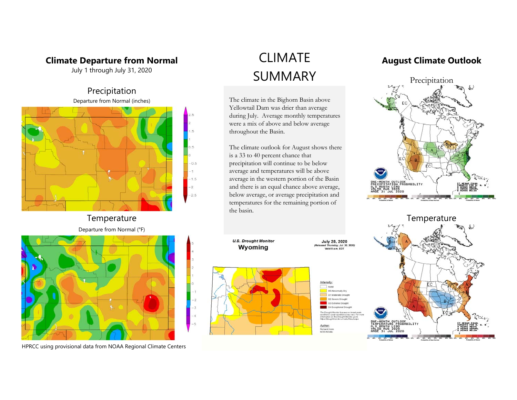#### **Climate Departure from Normal**

July 1 through July 31, 2020





## **Temperature**



HPRCC using provisional data from NOAA Regional Climate Centers

# CLIMATE SUMMARY

The climate in the Bighorn Basin above Yellowtail Dam was drier than average during July. Average monthly temperatures were a mix of above and below average throughout the Basin.

The climate outlook for August shows there is a 33 to 40 percent chance that precipitation will continue to be below average and temperatures will be above average in the western portion of the Basin and there is an equal chance above average, below average, or average precipitation and temperatures for the remaining portion of the basin.

#### **August Climate Outlook**



**U.S. Drought Monitor July 28, 2020**<br>ssed Thursday, Jul. 30, 2020) Wyoming id 8 a.m. EDT

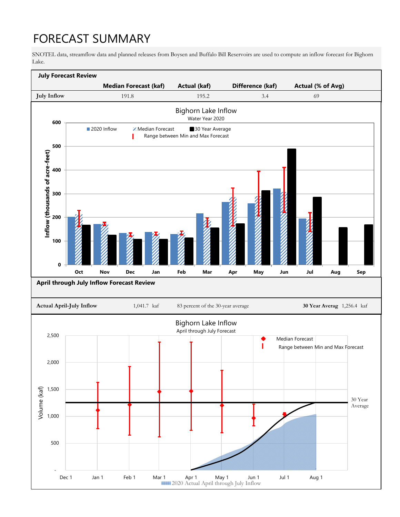# FORECAST SUMMARY

SNOTEL data, streamflow data and planned releases from Boysen and Buffalo Bill Reservoirs are used to compute an inflow forecast for Bighorn Lake.

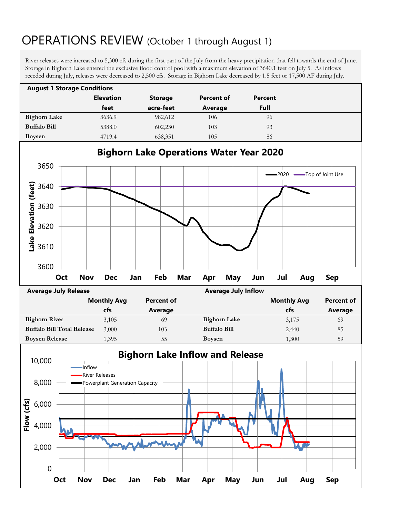## OPERATIONS REVIEW (October 1 through August 1)

River releases were increased to 5,300 cfs during the first part of the July from the heavy precipitation that fell towards the end of June. Storage in Bighorn Lake entered the exclusive flood control pool with a maximum elevation of 3640.1 feet on July 5. As inflows receded during July, releases were decreased to 2,500 cfs. Storage in Bighorn Lake decreased by 1.5 feet or 17,500 AF during July.

| <b>August 1 Storage Conditions</b> |                  |                |            |         |  |  |
|------------------------------------|------------------|----------------|------------|---------|--|--|
|                                    | <b>Elevation</b> | <b>Storage</b> | Percent of | Percent |  |  |
|                                    | feet             | acre-feet      | Average    | Full    |  |  |
| <b>Bighorn Lake</b>                | 3636.9           | 982,612        | 106        | 96      |  |  |
| <b>Buffalo Bill</b>                | 5388.0           | 602,230        | 103        | 93      |  |  |
| <b>Boysen</b>                      | 4719.4           | 638,351        | 105        | 86      |  |  |



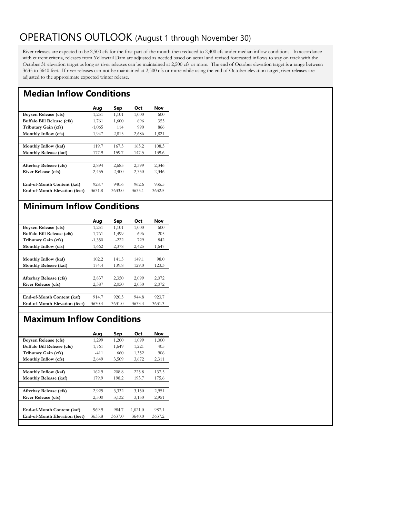## OPERATIONS OUTLOOK (August 1 through November 30)

River releases are expected to be 2,500 cfs for the first part of the month then reduced to 2,400 cfs under median inflow conditions. In accordance with current criteria, releases from Yellowtail Dam are adjusted as needed based on actual and revised forecasted inflows to stay on track with the October 31 elevation target as long as river releases can be maintained at 2,500 cfs or more. The end of October elevation target is a range between 3635 to 3640 feet. If river releases can not be maintained at 2,500 cfs or more while using the end of October elevation target, river releases are adjusted to the approximate expected winter release.

#### **Median Inflow Conditions**

|                               | Aug      | Sep    | Oct    | Nov    |
|-------------------------------|----------|--------|--------|--------|
| Boysen Release (cfs)          | 1,251    | 1,101  | 1,000  | 600    |
| Buffalo Bill Release (cfs)    | 1,761    | 1,600  | 696    | 355    |
| Tributary Gain (cfs)          | $-1,065$ | 114    | 990    | 866    |
| Monthly Inflow (cfs)          | 1,947    | 2,815  | 2,686  | 1,821  |
|                               |          |        |        |        |
| Monthly Inflow (kaf)          | 119.7    | 167.5  | 165.2  | 108.3  |
| Monthly Release (kaf)         | 177.9    | 159.7  | 147.5  | 139.6  |
|                               |          |        |        |        |
| Afterbay Release (cfs)        | 2,894    | 2,685  | 2,399  | 2,346  |
| <b>River Release (cfs)</b>    | 2,455    | 2,400  | 2,350  | 2,346  |
|                               |          |        |        |        |
| End-of-Month Content (kaf)    | 928.7    | 940.6  | 962.6  | 935.5  |
| End-of-Month Elevation (feet) | 3631.8   | 3633.0 | 3635.1 | 3632.5 |
|                               |          |        |        |        |

### **Minimum Inflow Conditions**

|                               | Aug      | Sep    | Oct    | Nov    |
|-------------------------------|----------|--------|--------|--------|
| Boysen Release (cfs)          | 1,251    | 1,101  | 1,000  | 600    |
| Buffalo Bill Release (cfs)    | 1,761    | 1,499  | 696    | 205    |
| Tributary Gain (cfs)          | $-1,350$ | $-222$ | 729    | 842    |
| Monthly Inflow (cfs)          | 1,662    | 2,378  | 2,425  | 1,647  |
|                               |          |        |        |        |
| Monthly Inflow (kaf)          | 102.2    | 141.5  | 149.1  | 98.0   |
| Monthly Release (kaf)         | 174.4    | 139.8  | 129.0  | 123.3  |
|                               |          |        |        |        |
| Afterbay Release (cfs)        | 2,837    | 2,350  | 2,099  | 2,072  |
| <b>River Release (cfs)</b>    | 2,387    | 2,050  | 2,050  | 2,072  |
|                               |          |        |        |        |
| End-of-Month Content (kaf)    | 914.7    | 920.5  | 944.8  | 923.7  |
| End-of-Month Elevation (feet) | 3630.4   | 3631.0 | 3633.4 | 3631.3 |
|                               |          |        |        |        |

### **Maximum Inflow Conditions**

| Aug    | Sep    | Oct     | Nov    |
|--------|--------|---------|--------|
| 1,299  | 1,200  | 1,099   | 1,000  |
| 1,761  | 1,649  | 1,221   | 405    |
| $-411$ | 660    | 1,352   | 906    |
| 2,649  | 3,509  | 3,672   | 2,311  |
|        |        |         |        |
| 162.9  | 208.8  | 225.8   | 137.5  |
| 179.9  | 198.2  | 193.7   | 175.6  |
|        |        |         |        |
| 2,925  | 3,332  | 3,150   | 2,951  |
| 2,500  | 3,132  | 3,150   | 2,951  |
|        |        |         |        |
| 969.9  | 984.7  | 1,021.0 | 987.1  |
| 3635.8 | 3637.0 | 3640.0  | 3637.2 |
|        |        |         |        |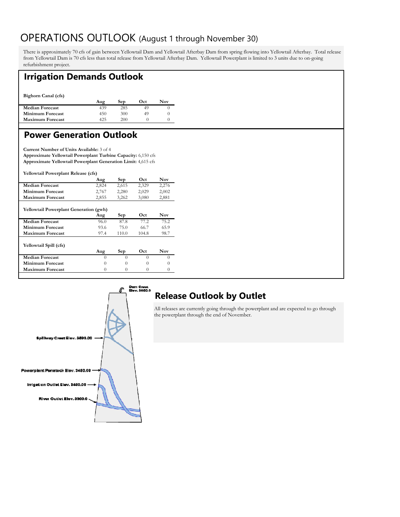## OPERATIONS OUTLOOK (August 1 through November 30)

There is approximately 70 cfs of gain between Yellowtail Dam and Yellowtail Afterbay Dam from spring flowing into Yellowtail Afterbay. Total release from Yellowtail Dam is 70 cfs less than total release from Yellowtail Afterbay Dam. Yellowtail Powerplant is limited to 3 units due to on-going refurbishment project.

### **Irrigation Demands Outlook**

**Bighorn Canal (cfs)** 

|                         | Aug | Sep | Oct | Nov |
|-------------------------|-----|-----|-----|-----|
| <b>Median Forecast</b>  | 439 | 285 |     |     |
| <b>Minimum Forecast</b> | 450 | 300 | 49  |     |
| <b>Maximum Forecast</b> | 425 | 200 |     |     |
|                         |     |     |     |     |

### **Power Generation Outlook**

**Current Number of Units Available:** 3 of 4 **Approximate Yellowtail Powerplant Turbine Capacity:** 6,150 cfs **Approximate Yellowtail Powerplant Generation Limit:** 4,615 cfs

**Yellowtail Powerplant Release (cfs)** 

|                         | Aug   | Sep   | Oct   | Nov   |
|-------------------------|-------|-------|-------|-------|
| <b>Median Forecast</b>  | 2.824 | 2.615 | 2.329 | 2.276 |
| <b>Minimum Forecast</b> | 2.767 | 2.280 | 2.029 | 2.002 |
| <b>Maximum Forecast</b> | 2.855 | 3.262 | 3.080 | 2.881 |
|                         |       |       |       |       |

| <b>Yellowtail Powerplant Generation (gwh)</b> |          |       |       |          |
|-----------------------------------------------|----------|-------|-------|----------|
|                                               | Aug      | Sep   | Oct   | Nov      |
| <b>Median Forecast</b>                        | 96.0     | 87.8  | 772   | 75.2     |
| Minimum Forecast                              | 93.6     | 75.0  | 66.7  | 65.9     |
| <b>Maximum Forecast</b>                       | 97.4     | 110.0 | 104.8 | 98.7     |
| Yellowtail Spill (cfs)                        | Aug      | Sep   | Oct   | Nov      |
| <b>Median Forecast</b>                        | $\theta$ | 0     | 0     | $\Omega$ |
| <b>Minimum Forecast</b>                       | 0        | 0     | 0     | $\theta$ |
| <b>Maximum Forecast</b>                       | 0        | 0     | 0     |          |
|                                               |          |       |       |          |



## **Release Outlook by Outlet**

All releases are currently going through the powerplant and are expected to go through the powerplant through the end of November.